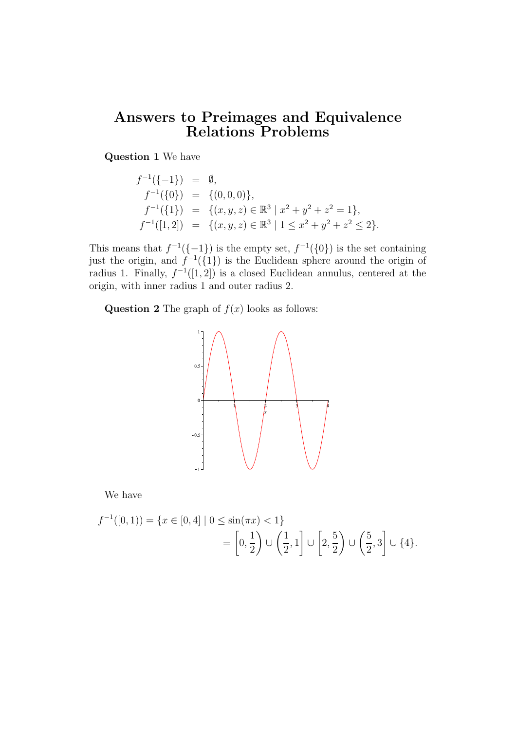## Answers to Preimages and Equivalence Relations Problems

Question 1 We have

$$
f^{-1}(\{-1\}) = \emptyset,
$$
  
\n
$$
f^{-1}(\{0\}) = \{(0,0,0)\},
$$
  
\n
$$
f^{-1}(\{1\}) = \{(x,y,z) \in \mathbb{R}^3 \mid x^2 + y^2 + z^2 = 1\},
$$
  
\n
$$
f^{-1}([1,2]) = \{(x,y,z) \in \mathbb{R}^3 \mid 1 \le x^2 + y^2 + z^2 \le 2\}.
$$

This means that  $f^{-1}(\{-1\})$  is the empty set,  $f^{-1}(\{0\})$  is the set containing just the origin, and  $f^{-1}(\{1\})$  is the Euclidean sphere around the origin of radius 1. Finally,  $f^{-1}([1, 2])$  is a closed Euclidean annulus, centered at the origin, with inner radius 1 and outer radius 2.

**Question 2** The graph of  $f(x)$  looks as follows:



We have

$$
f^{-1}([0,1)) = \{x \in [0,4] \mid 0 \le \sin(\pi x) < 1\} \\
= \left[0, \frac{1}{2}\right) \cup \left(\frac{1}{2}, 1\right] \cup \left[2, \frac{5}{2}\right) \cup \left(\frac{5}{2}, 3\right] \cup \{4\}.
$$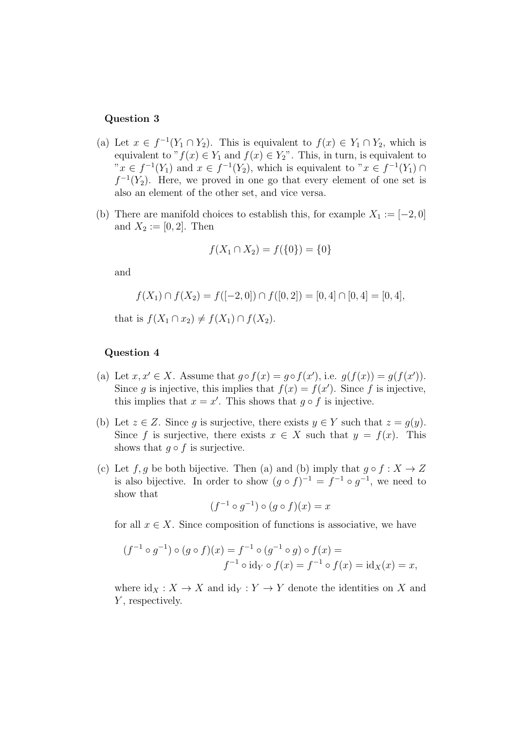## Question 3

- (a) Let  $x \in f^{-1}(Y_1 \cap Y_2)$ . This is equivalent to  $f(x) \in Y_1 \cap Y_2$ , which is equivalent to " $f(x) \in Y_1$  and  $f(x) \in Y_2$ ". This, in turn, is equivalent to  $x \in f^{-1}(Y_1)$  and  $x \in f^{-1}(Y_2)$ , which is equivalent to  $x \in f^{-1}(Y_1) \cap$  $f^{-1}(Y_2)$ . Here, we proved in one go that every element of one set is also an element of the other set, and vice versa.
- (b) There are manifold choices to establish this, for example  $X_1 := [-2, 0]$ and  $X_2 := [0, 2]$ . Then

$$
f(X_1 \cap X_2) = f(\{0\}) = \{0\}
$$

and

$$
f(X_1) \cap f(X_2) = f([-2, 0]) \cap f([0, 2]) = [0, 4] \cap [0, 4] = [0, 4],
$$

that is  $f(X_1 \cap x_2) \neq f(X_1) \cap f(X_2)$ .

## Question 4

- (a) Let  $x, x' \in X$ . Assume that  $g \circ f(x) = g \circ f(x')$ , i.e.  $g(f(x)) = g(f(x'))$ . Since g is injective, this implies that  $f(x) = f(x')$ . Since f is injective, this implies that  $x = x'$ . This shows that  $g \circ f$  is injective.
- (b) Let  $z \in Z$ . Since q is surjective, there exists  $y \in Y$  such that  $z = q(y)$ . Since f is surjective, there exists  $x \in X$  such that  $y = f(x)$ . This shows that  $q \circ f$  is surjective.
- (c) Let f, g be both bijective. Then (a) and (b) imply that  $g \circ f : X \to Z$ is also bijective. In order to show  $(g \circ f)^{-1} = f^{-1} \circ g^{-1}$ , we need to show that

$$
(f^{-1} \circ g^{-1}) \circ (g \circ f)(x) = x
$$

for all  $x \in X$ . Since composition of functions is associative, we have

$$
(f^{-1} \circ g^{-1}) \circ (g \circ f)(x) = f^{-1} \circ (g^{-1} \circ g) \circ f(x) =
$$
  

$$
f^{-1} \circ id_Y \circ f(x) = f^{-1} \circ f(x) = id_X(x) = x,
$$

where  $\mathrm{id}_X : X \to X$  and  $\mathrm{id}_Y : Y \to Y$  denote the identities on X and Y, respectively.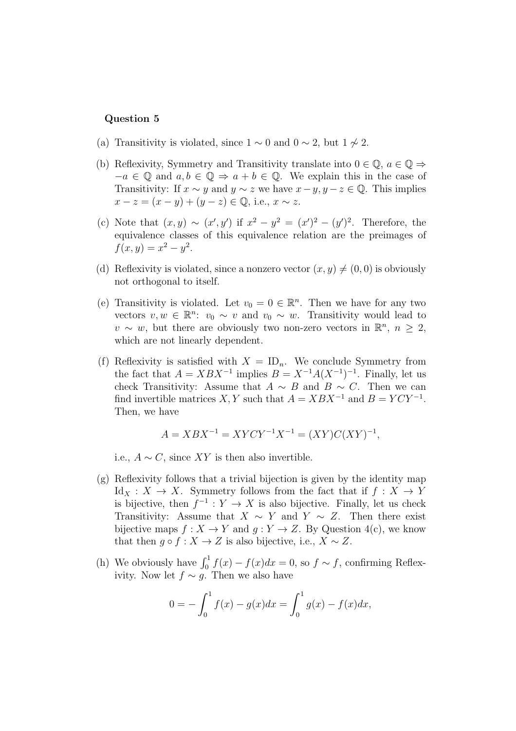## Question 5

- (a) Transitivity is violated, since  $1 \sim 0$  and  $0 \sim 2$ , but  $1 \not\sim 2$ .
- (b) Reflexivity, Symmetry and Transitivity translate into  $0 \in \mathbb{Q}$ ,  $a \in \mathbb{Q} \Rightarrow$  $-a \in \mathbb{Q}$  and  $a, b \in \mathbb{Q} \Rightarrow a + b \in \mathbb{Q}$ . We explain this in the case of Transitivity: If  $x \sim y$  and  $y \sim z$  we have  $x - y$ ,  $y - z \in \mathbb{Q}$ . This implies  $x - z = (x - y) + (y - z) \in \mathbb{Q}$ , i.e.,  $x \sim z$ .
- (c) Note that  $(x, y) \sim (x', y')$  if  $x^2 y^2 = (x')^2 (y')^2$ . Therefore, the equivalence classes of this equivalence relation are the preimages of  $f(x, y) = x^2 - y^2$ .
- (d) Reflexivity is violated, since a nonzero vector  $(x, y) \neq (0, 0)$  is obviously not orthogonal to itself.
- (e) Transitivity is violated. Let  $v_0 = 0 \in \mathbb{R}^n$ . Then we have for any two vectors  $v, w \in \mathbb{R}^n$ :  $v_0 \sim v$  and  $v_0 \sim w$ . Transitivity would lead to  $v \sim w$ , but there are obviously two non-zero vectors in  $\mathbb{R}^n$ ,  $n \geq 2$ , which are not linearly dependent.
- (f) Reflexivity is satisfied with  $X = \mathrm{ID}_n$ . We conclude Symmetry from the fact that  $A = XBX^{-1}$  implies  $B = X^{-1}A(X^{-1})^{-1}$ . Finally, let us check Transitivity: Assume that  $A \sim B$  and  $B \sim C$ . Then we can find invertible matrices  $X, Y$  such that  $A = XBX^{-1}$  and  $B = YCY^{-1}$ . Then, we have

$$
A = XBX^{-1} = XYCY^{-1}X^{-1} = (XY)C(XY)^{-1},
$$

i.e.,  $A \sim C$ , since XY is then also invertible.

- (g) Reflexivity follows that a trivial bijection is given by the identity map  $\mathrm{Id}_X : X \to X$ . Symmetry follows from the fact that if  $f : X \to Y$ is bijective, then  $f^{-1}: Y \to X$  is also bijective. Finally, let us check Transitivity: Assume that  $X \sim Y$  and  $Y \sim Z$ . Then there exist bijective maps  $f: X \to Y$  and  $g: Y \to Z$ . By Question 4(c), we know that then  $q \circ f : X \to Z$  is also bijective, i.e.,  $X \sim Z$ .
- (h) We obviously have  $\int_0^1 f(x) f(x) dx = 0$ , so  $f \sim f$ , confirming Reflexivity. Now let  $f \sim g$ . Then we also have

$$
0 = -\int_0^1 f(x) - g(x)dx = \int_0^1 g(x) - f(x)dx,
$$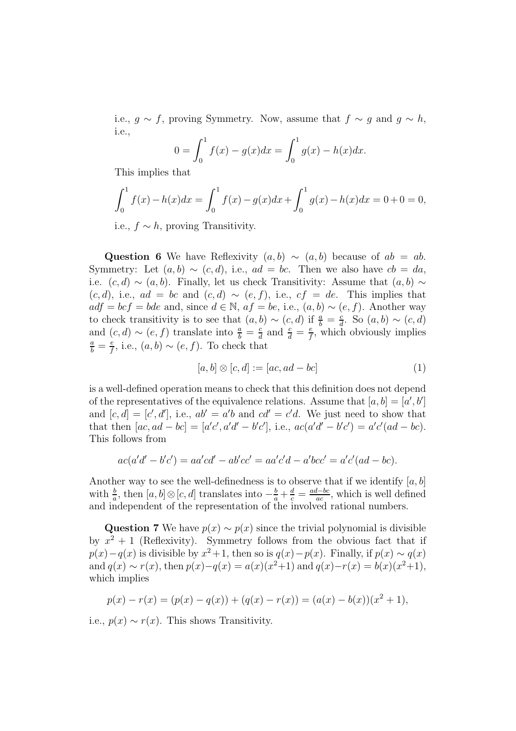i.e.,  $g \sim f$ , proving Symmetry. Now, assume that  $f \sim g$  and  $g \sim h$ , i.e.,

$$
0 = \int_0^1 f(x) - g(x)dx = \int_0^1 g(x) - h(x)dx.
$$

This implies that

$$
\int_0^1 f(x) - h(x)dx = \int_0^1 f(x) - g(x)dx + \int_0^1 g(x) - h(x)dx = 0 + 0 = 0,
$$

i.e.,  $f \sim h$ , proving Transitivity.

Question 6 We have Reflexivity  $(a, b) \sim (a, b)$  because of  $ab = ab$ . Symmetry: Let  $(a, b) \sim (c, d)$ , i.e.,  $ad = bc$ . Then we also have  $cb = da$ . i.e.  $(c, d) \sim (a, b)$ . Finally, let us check Transitivity: Assume that  $(a, b) \sim$  $(c, d)$ , i.e.,  $ad = bc$  and  $(c, d) \sim (e, f)$ , i.e.,  $cf = de$ . This implies that  $adf = bcf = bde$  and, since  $d \in \mathbb{N}$ ,  $af = be$ , i.e.,  $(a, b) \sim (e, f)$ . Another way to check transitivity is to see that  $(a, b) \sim (c, d)$  if  $\frac{a}{b} = \frac{c}{d}$  $\frac{c}{d}$ . So  $(a, b) \sim (c, d)$ and  $(c, d) \sim (e, f)$  translate into  $\frac{a}{b} = \frac{c}{d}$  $\frac{c}{d}$  and  $\frac{c}{d} = \frac{e}{f}$  $\frac{e}{f}$ , which obviously implies  $\frac{a}{b} = \frac{e}{f}$  $\frac{e}{f}$ , i.e.,  $(a, b) \sim (e, f)$ . To check that

$$
[a, b] \otimes [c, d] := [ac, ad - bc]
$$
\n
$$
(1)
$$

is a well-defined operation means to check that this definition does not depend of the representatives of the equivalence relations. Assume that  $[a, b] = [a', b']$ and  $[c, d] = [c', d'],$  i.e.,  $ab' = a'b$  and  $cd' = c'd$ . We just need to show that that then  $[ac, ad - bc] = [a'c', a'd' - b'c'], i.e., ac(a'd' - b'c') = a'c'(ad - bc).$ This follows from

$$
ac(a'd' - b'c') = aa'cd' - ab'cc' = aa'c'd - a'bcc' = a'c'(ad - bc).
$$

Another way to see the well-definedness is to observe that if we identify  $[a, b]$ with  $\frac{b}{a}$ , then  $[a, b] \otimes [c, d]$  translates into  $-\frac{b}{a} + \frac{d}{c} = \frac{ad - bc}{ac}$  $\frac{d - bc}{ac}$ , which is well defined and independent of the representation of the involved rational numbers.

Question 7 We have  $p(x) \sim p(x)$  since the trivial polynomial is divisible by  $x^2 + 1$  (Reflexivity). Symmetry follows from the obvious fact that if  $p(x) - q(x)$  is divisible by  $x^2 + 1$ , then so is  $q(x) - p(x)$ . Finally, if  $p(x) \sim q(x)$ and  $q(x) \sim r(x)$ , then  $p(x) - q(x) = a(x)(x^2+1)$  and  $q(x) - r(x) = b(x)(x^2+1)$ , which implies

$$
p(x) - r(x) = (p(x) - q(x)) + (q(x) - r(x)) = (a(x) - b(x))(x^{2} + 1),
$$

i.e.,  $p(x) \sim r(x)$ . This shows Transitivity.